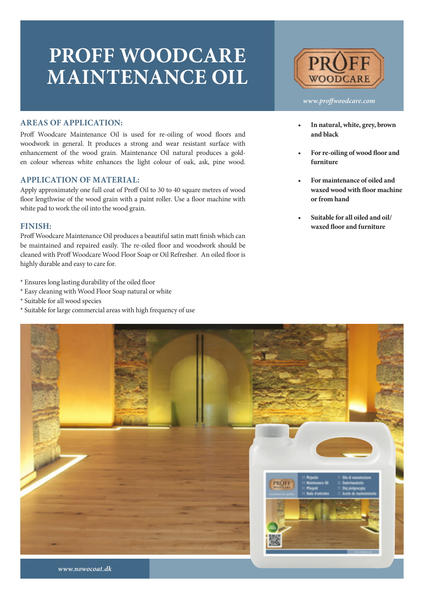## **PROFF WOODCARE MAINTENANCE OIL**



#### *www.proffwoodcare.com*

### **AREAS OF APPLICATION:**

Proff Woodcare Maintenance Oil is used for re-oiling of wood floors and woodwork in general. It produces a strong and wear resistant surface with enhancement of the wood grain. Maintenance Oil natural produces a golden colour whereas white enhances the light colour of oak, ask, pine wood.

#### **APPLICATION OF MATERIAL:**

Apply approximately one full coat of Proff Oil to 30 to 40 square metres of wood floor lengthwise of the wood grain with a paint roller. Use a floor machine with white pad to work the oil into the wood grain.

#### **FINISH:**

Proff Woodcare Maintenance Oil produces a beautiful satin matt finish which can be maintained and repaired easily. The re-oiled floor and woodwork should be cleaned with Proff Woodcare Wood Floor Soap or Oil Refresher. An oiled floor is highly durable and easy to care for.

- \* Ensures long lasting durability of the oiled floor
- \* Easy cleaning with Wood Floor Soap natural or white
- \* Suitable for all wood species
- \* Suitable for large commercial areas with high frequency of use
- **• In natural, white, grey, brown and black**
- **• For re-oiling of wood floor and furniture**
- **• For maintenance of oiled and waxed wood with floor machine or from hand**
- **• Suitable for all oiled and oil/ waxed floor and furniture**